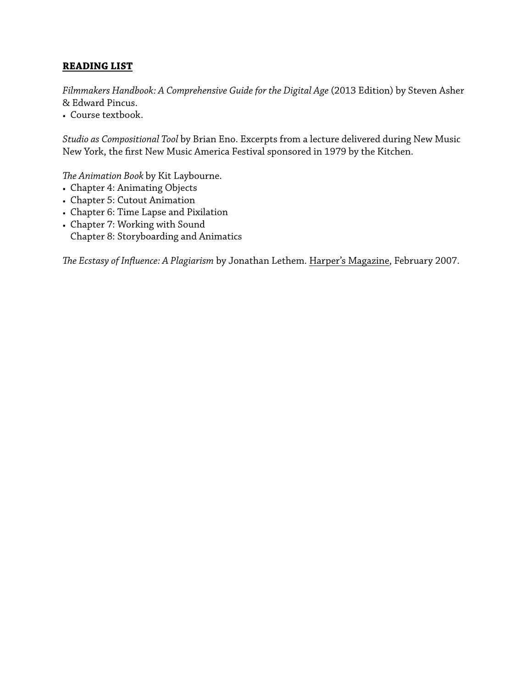# **READING LIST**

*Filmmakers Handbook: A Comprehensive Guide for the Digital Age* (2013 Edition) by Steven Asher & Edward Pincus.

• Course textbook.

*Studio as Compositional Tool* by Brian Eno. Excerpts from a lecture delivered during New Music New York, the frst New Music America Festival sponsored in 1979 by the Kitchen.

*Te Animation Book* by Kit Laybourne.

- Chapter 4: Animating Objects
- Chapter 5: Cutout Animation
- Chapter 6: Time Lapse and Pixilation
- Chapter 7: Working with Sound Chapter 8: Storyboarding and Animatics

*Te Ecstasy of Infuence: A Plagiarism* by Jonathan Lethem. Harper's Magazine, February 2007.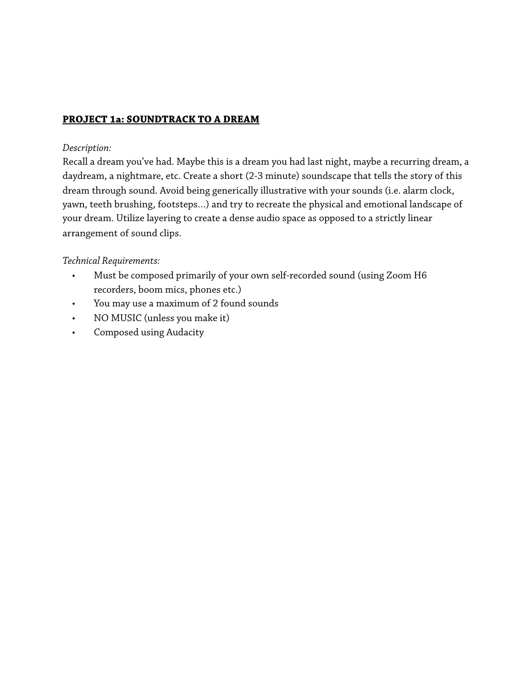# **PROJECT 1a: SOUNDTRACK TO A DREAM**

#### *Description:*

Recall a dream you've had. Maybe this is a dream you had last night, maybe a recurring dream, a daydream, a nightmare, etc. Create a short (2-3 minute) soundscape that tells the story of this dream through sound. Avoid being generically illustrative with your sounds (i.e. alarm clock, yawn, teeth brushing, footsteps…) and try to recreate the physical and emotional landscape of your dream. Utilize layering to create a dense audio space as opposed to a strictly linear arrangement of sound clips.

#### *Technical Requirements:*

- Must be composed primarily of your own self-recorded sound (using Zoom H6 recorders, boom mics, phones etc.)
- You may use a maximum of 2 found sounds
- NO MUSIC (unless you make it)
- Composed using Audacity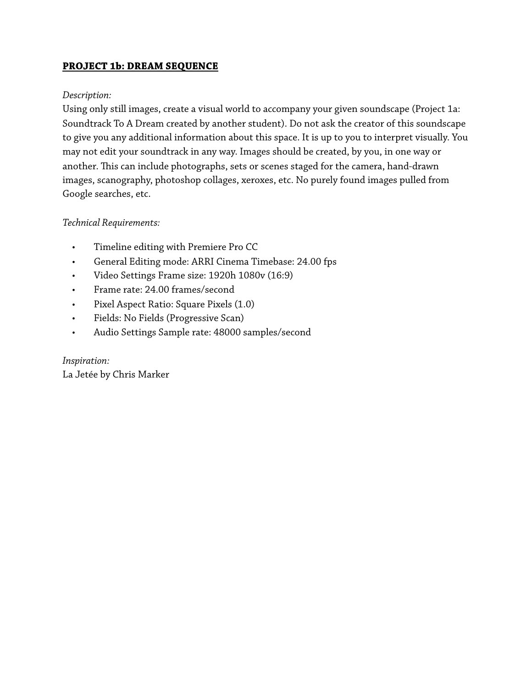# **PROJECT 1b: DREAM SEQUENCE**

#### *Description:*

Using only still images, create a visual world to accompany your given soundscape (Project 1a: Soundtrack To A Dream created by another student). Do not ask the creator of this soundscape to give you any additional information about this space. It is up to you to interpret visually. You may not edit your soundtrack in any way. Images should be created, by you, in one way or another. This can include photographs, sets or scenes staged for the camera, hand-drawn images, scanography, photoshop collages, xeroxes, etc. No purely found images pulled from Google searches, etc.

#### *Technical Requirements:*

- Timeline editing with Premiere Pro CC
- General Editing mode: ARRI Cinema Timebase: 24.00 fps
- Video Settings Frame size: 1920h 1080v (16:9)
- Frame rate: 24.00 frames/second
- Pixel Aspect Ratio: Square Pixels (1.0)
- Fields: No Fields (Progressive Scan)
- Audio Settings Sample rate: 48000 samples/second

*Inspiration:* La Jetée by Chris Marker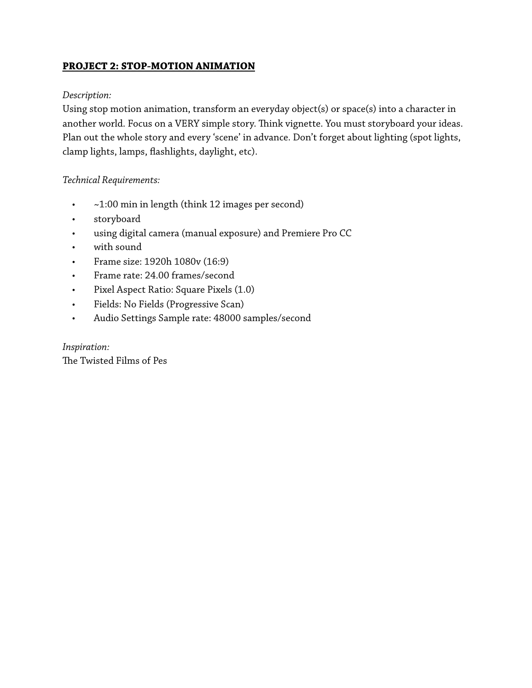# **PROJECT 2: STOP-MOTION ANIMATION**

#### *Description:*

Using stop motion animation, transform an everyday object(s) or space(s) into a character in another world. Focus on a VERY simple story. Think vignette. You must storyboard your ideas. Plan out the whole story and every 'scene' in advance. Don't forget about lighting (spot lights, clamp lights, lamps, fashlights, daylight, etc).

#### *Technical Requirements:*

- ~1:00 min in length (think 12 images per second)
- storyboard
- using digital camera (manual exposure) and Premiere Pro CC
- with sound
- Frame size: 1920h 1080v (16:9)
- Frame rate: 24.00 frames/second
- Pixel Aspect Ratio: Square Pixels (1.0)
- Fields: No Fields (Progressive Scan)
- Audio Settings Sample rate: 48000 samples/second

### *Inspiration:*

The Twisted Films of Pes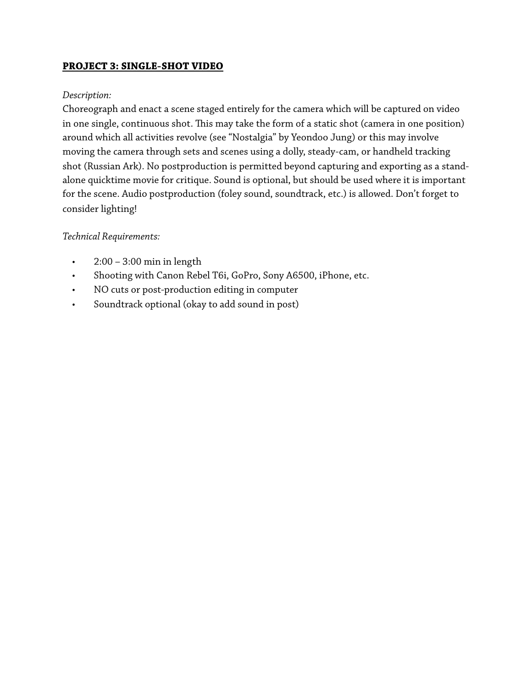# **PROJECT 3: SINGLE-SHOT VIDEO**

#### *Description:*

Choreograph and enact a scene staged entirely for the camera which will be captured on video in one single, continuous shot. This may take the form of a static shot (camera in one position) around which all activities revolve (see "Nostalgia" by Yeondoo Jung) or this may involve moving the camera through sets and scenes using a dolly, steady-cam, or handheld tracking shot (Russian Ark). No postproduction is permitted beyond capturing and exporting as a standalone quicktime movie for critique. Sound is optional, but should be used where it is important for the scene. Audio postproduction (foley sound, soundtrack, etc.) is allowed. Don't forget to consider lighting!

### *Technical Requirements:*

- $\cdot$  2:00 3:00 min in length
- Shooting with Canon Rebel T6i, GoPro, Sony A6500, iPhone, etc.
- NO cuts or post-production editing in computer
- Soundtrack optional (okay to add sound in post)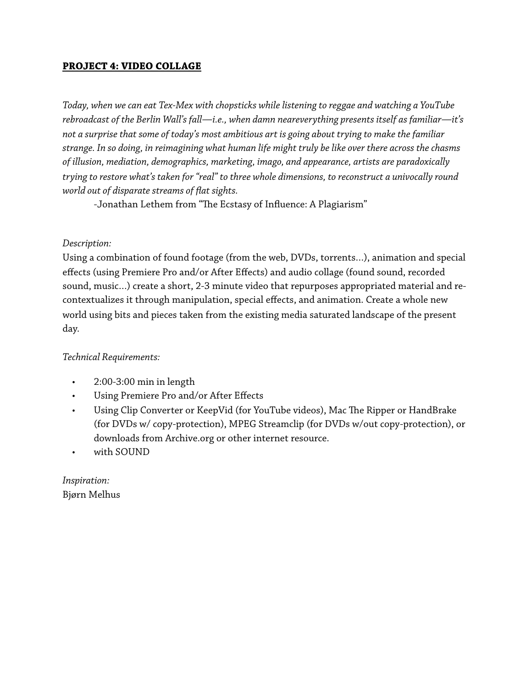### **PROJECT 4: VIDEO COLLAGE**

*Today, when we can eat Tex-Mex with chopsticks while listening to reggae and watching a YouTube rebroadcast of the Berlin Wall's fall—i.e., when damn neareverything presents itself as familiar—it's not a surprise that some of today's most ambitious art is going about trying to make the familiar strange. In so doing, in reimagining what human life might truly be like over there across the chasms of illusion, mediation, demographics, marketing, imago, and appearance, artists are paradoxically trying to restore what's taken for "real" to three whole dimensions, to reconstruct a univocally round world out of disparate streams of fat sights.*

-Jonathan Lethem from "The Ecstasy of Influence: A Plagiarism"

#### *Description:*

Using a combination of found footage (from the web, DVDs, torrents…), animation and special effects (using Premiere Pro and/or After Effects) and audio collage (found sound, recorded sound, music…) create a short, 2-3 minute video that repurposes appropriated material and recontextualizes it through manipulation, special effects, and animation. Create a whole new world using bits and pieces taken from the existing media saturated landscape of the present day.

### *Technical Requirements:*

- 2:00-3:00 min in length
- Using Premiere Pro and/or After Effects
- Using Clip Converter or KeepVid (for YouTube videos), Mac The Ripper or HandBrake (for DVDs w/ copy-protection), MPEG Streamclip (for DVDs w/out copy-protection), or downloads from Archive.org or other internet resource.
- with SOUND

*Inspiration:*  Bjørn Melhus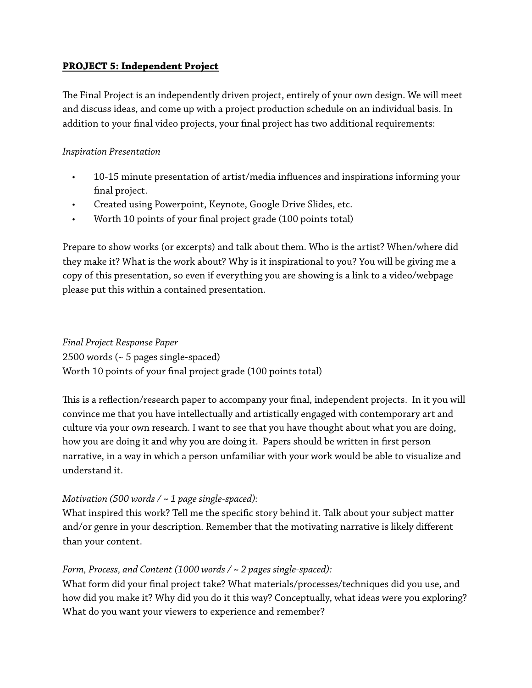# **PROJECT 5: Independent Project**

The Final Project is an independently driven project, entirely of your own design. We will meet and discuss ideas, and come up with a project production schedule on an individual basis. In addition to your fnal video projects, your fnal project has two additional requirements:

### *Inspiration Presentation*

- 10-15 minute presentation of artist/media infuences and inspirations informing your fnal project.
- Created using Powerpoint, Keynote, Google Drive Slides, etc.
- Worth 10 points of your fnal project grade (100 points total)

Prepare to show works (or excerpts) and talk about them. Who is the artist? When/where did they make it? What is the work about? Why is it inspirational to you? You will be giving me a copy of this presentation, so even if everything you are showing is a link to a video/webpage please put this within a contained presentation.

*Final Project Response Paper* 2500 words (~ 5 pages single-spaced) Worth 10 points of your fnal project grade (100 points total)

This is a reflection/research paper to accompany your final, independent projects. In it you will convince me that you have intellectually and artistically engaged with contemporary art and culture via your own research. I want to see that you have thought about what you are doing, how you are doing it and why you are doing it. Papers should be written in frst person narrative, in a way in which a person unfamiliar with your work would be able to visualize and understand it.

### *Motivation (500 words / ~ 1 page single-spaced):*

What inspired this work? Tell me the specifc story behind it. Talk about your subject matter and/or genre in your description. Remember that the motivating narrative is likely different than your content.

### *Form, Process, and Content (1000 words / ~ 2 pages single-spaced):*

What form did your fnal project take? What materials/processes/techniques did you use, and how did you make it? Why did you do it this way? Conceptually, what ideas were you exploring? What do you want your viewers to experience and remember?